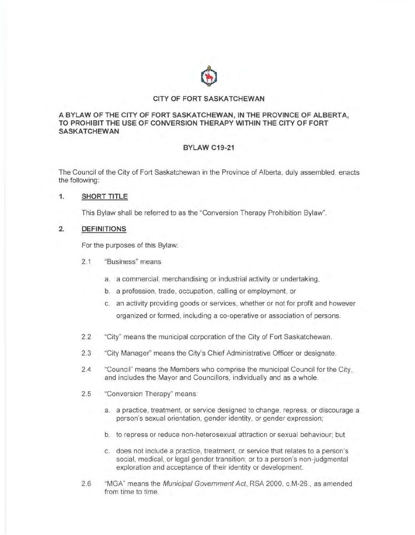

#### **CITY OF FORT SASKATCHEWAN**

#### **A BYLAW OF THE CITY OF FORT SASKATCHEWAN, IN THE PROVINCE OF ALBERTA, TO PROHIBIT THE USE OF CONVERSION THERAPY WITHIN THE CITY OF FORT SASKATCHEWAN**

# **BYLAW C19-21**

The Council of the City of Fort Saskatchewan in the Province of Alberta, duly assembled, enacts the following:

#### **1. SHORT TITLE**

This Bylaw shall be referred to as the "Conversion Therapy Prohibition Bylaw".

#### **2. DEFINITIONS**

For the purposes of this Bylaw:

- 2.1 "Business" means
	- a. a commercial, merchandising or industrial activity or undertaking,
	- b. a profession, trade, occupation, calling or employment, or
	- c. an activity providing goods or services, whether or not for profit and however organized or formed, including a co-operative or association of persons.
- 2.2 "City" means the municipal corporation of the City of Fort Saskatchewan.
- 2.3 "City Manager" means the City's Chief Administrative Officer or designate.
- 2.4 "Council" means the Members who comprise the municipal Council for the City, and includes the Mayor and Councillors, individually and as a whole.
- 2.5 "Conversion Therapy" means:
	- a. a practice, treatment, or service designed to change, repress, or discourage a person's sexual orientation, gender identity, or gender expression;
	- b. to repress or reduce non-heterosexual attraction or sexual behaviour; but
	- c. does not include a practice, treatment, or service that relates to a person's social, medical, or legal gender transition; or to a person's non-judgmental exploration and acceptance of their identity or development.
- 2.6 "MGA" means the Municipal Government Act, RSA 2000, c.M-26 ., as amended from time to time.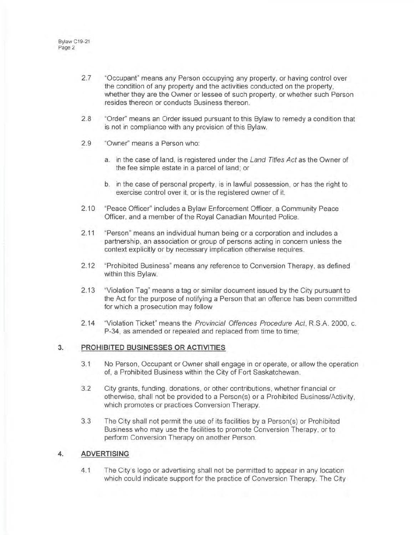- 2.7 "Occupant" means any Person occupying any property, or having control over the condition of any property and the activities conducted on the property, whether they are the Owner or lessee of such property, or whether such Person resides thereon or conducts Business thereon.
- 2.8 "Order" means an Order issued pursuant to this Bylaw to remedy a condition that is not in compliance with any provision of this Bylaw.
- 2.9 "Owner" means a Person who:
	- a. in the case of land, is registered under the Land Titles Act as the Owner of the fee simple estate in a parcel of land; or
	- b. in the case of personal property, is in lawful possession, or has the right to exercise control over it, or is the registered owner of it.
- 2.10 "Peace Officer" includes a Bylaw Enforcement Officer, a Community Peace Officer, and a member of the Royal Canadian Mounted Police.
- 2.11 "Person" means an individual human being or a corporation and includes a partnership, an association or group of persons acting in concern unless the context explicitly or by necessary implication otherwise requires.
- 2.12 "Prohibited Business" means any reference to Conversion Therapy, as defined within this Bylaw.
- 2.13 "Violation Tag" means a tag or similar document issued by the City pursuant to the Act for the purpose of notifying a Person that an offence has been committed for which a prosecution may follow
- 2.14 "Violation Ticket" means the Provincial Offences Procedure Act, R.S.A. 2000, c. P-34, as amended or repealed and replaced from time to time;

# **3. PROHIBITED BUSINESSES OR ACTIVITIES**

- 3.1 No Person , Occupant or Owner shall engage in or operate, or allow the operation of, a Prohibited Business within the City of Fort Saskatchewan.
- 3.2 City grants, funding , donations, or other contributions, whether financial or otherwise, shall not be provided to a Person(s) or a Prohibited Business/Activity, which promotes or practices Conversion Therapy.
- 3.3 The City shall not permit the use of its facilities by a Person(s) or Prohibited Business who may use the facilities to promote Conversion Therapy, or to perform Conversion Therapy on another Person.

# **4. ADVERTISING**

4.1 The City's logo or advertising shall not be permitted to appear in any location which could indicate support for the practice of Conversion Therapy. The City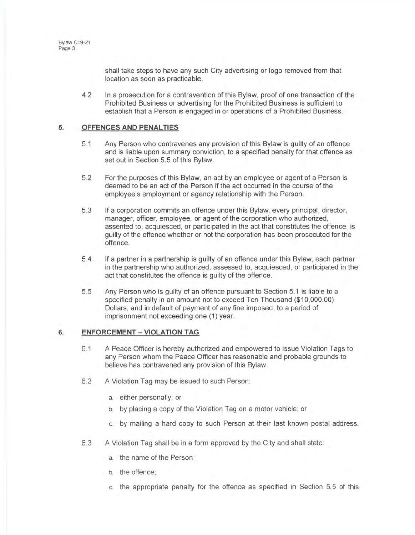shall take steps to have any such City advertising or logo removed from that location as soon as practicable.

4.2 In a prosecution for a contravention of this Bylaw, proof of one transaction of the Prohibited Business or advertising for the Prohibited Business is sufficient to establish that a Person is engaged in or operations of a Prohibited Business.

# **5. OFFENCES AND PENAL TIES**

- 5.1 Any Person who contravenes any provision of this Bylaw is guilty of an offence and is liable upon summary conviction, to a specified penalty for that offence as set out in Section 5.5 of this Bylaw.
- 5.2 For the purposes of this Bylaw, an act by an employee or agent of a Person is deemed to be an act of the Person if the act occurred in the course of the employee's employment or agency relationship with the Person.
- 5.3 If a corporation commits an offence under this Bylaw, every principal, director, manager, officer, employee, or agent of the corporation who authorized, assented to, acquiesced, or participated in the act that constitutes the offence, is guilty of the offence whether or not the corporation has been prosecuted for the offence.
- 5.4 If a partner in a partnership is guilty of an offence under this Bylaw, each partner in the partnership who authorized, assessed to, acquiesced, or participated in the act that constitutes the offence is guilty of the offence.
- 5.5 Any Person who is guilty of an offence pursuant to Section 5.1 is liable to a specified penalty in an amount not to exceed Ten Thousand (\$10,000.00) Dollars, and in default of payment of any fine imposed, to a period of imprisonment not exceeding one (1) year.

# **6. ENFORCEMENT - VIOLATION TAG**

- 6.1 A Peace Officer is hereby authorized and empowered to issue Violation Tags to any Person whom the Peace Officer has reasonable and probable grounds to believe has contravened any provision of this Bylaw.
- 6.2 A Violation Tag may be issued to such Person:
	- a. either personally; or
	- b. by placing a copy of the Violation Tag on a motor vehicle; or
	- c. by mailing a hard copy to such Person at their last known postal address.
- 6.3 A Violation Tag shall be in a form approved by the City and shall state:
	- a. the name of the Person;
	- b. the offence;
	- c. the appropriate penalty for the offence as specified in Section 5.5 of this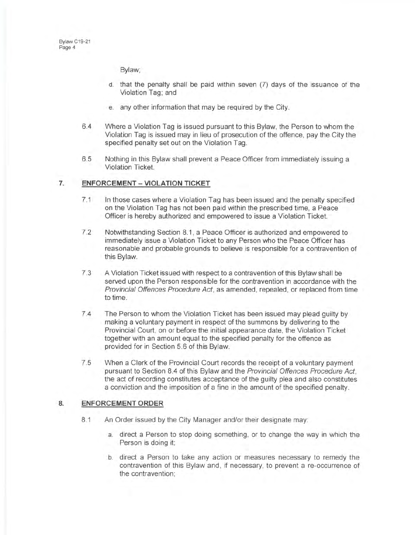Bylaw;

- d. that the penalty shall be paid within seven (7) days of the issuance of the Violation Tag; and
- e. any other information that may be required by the City.
- 6.4 Where a Violation Tag is issued pursuant to this Bylaw, the Person to whom the Violation Tag is issued may in lieu of prosecution of the offence, pay the City the specified penalty set out on the Violation Tag.
- 6.5 Nothing in this Bylaw shall prevent a Peace Officer from immediately issuing a Violation Ticket.

#### **7. ENFORCEMENT - VIOLATION TICKET**

- 7.1 In those cases where a Violation Tag has been issued and the penalty specified on the Violation Tag has not been paid within the prescribed time, a Peace Officer is hereby authorized and empowered to issue a Violation Ticket.
- 7.2 Notwithstanding Section 8.1 , a Peace Officer is authorized and empowered to immediately issue a Violation Ticket to any Person who the Peace Officer has reasonable and probable grounds to believe is responsible for a contravention of this Bylaw.
- 7.3 A Violation Ticket issued with respect to a contravention of this Bylaw shall be served upon the Person responsible for the contravention in accordance with the Provincial Offences Procedure Act, as amended, repealed, or replaced from time to time.
- 7.4 The Person to whom the Violation Ticket has been issued may plead guilty by making a voluntary payment in respect of the summons by delivering to the Provincial Court, on or before the initial appearance date, the Violation Ticket together with an amount equal to the specified penalty for the offence as provided for in Section 5.6 of this Bylaw.
- 7.5 When a Clerk of the Provincial Court records the receipt of a voluntary payment pursuant to Section 8.4 of this Bylaw and the Provincial Offences Procedure Act, the act of recording constitutes acceptance of the guilty plea and also constitutes a conviction and the imposition of a fine in the amount of the specified penalty.

# **a ENFORCEMENT ORDER**

- 8.1 An Order issued by the City Manager and/or their designate may:
	- a. direct a Person to stop doing something, or to change the way in which the Person is doing it;
	- b. direct a Person to take any action or measures necessary to remedy the contravention of this Bylaw and , if necessary, to prevent a re-occurrence of the contravention;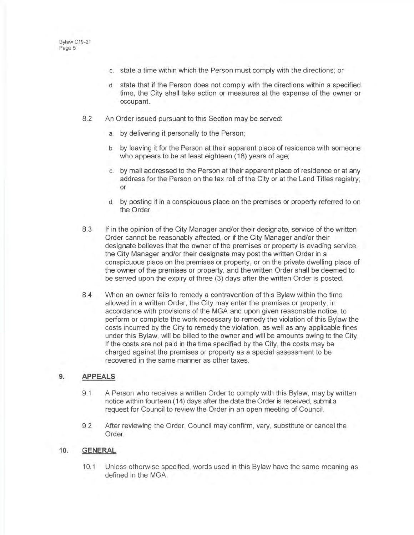- c. state a time within which the Person must comply with the directions; or
- d. state that if the Person does not comply with the directions within a specified time, the City shall take action or measures at the expense of the owner or occupant.
- 8.2 An Order issued pursuant to this Section may be served:
	- a. by delivering it personally to the Person;
	- b. by leaving it for the Person at their apparent place of residence with someone who appears to be at least eighteen (18) years of age;
	- c. by mail addressed to the Person at their apparent place of residence or at any address for the Person on the tax roll of the City or at the Land Titles registry; or
	- d. by posting it in a conspicuous place on the premises or property referred to on the Order.
- 8.3 If in the opinion of the City Manager and/or their designate, service of the written Order cannot be reasonably affected, or if the City Manager and/or their designate believes that the owner of the premises or property is evading service, the City Manager and/or their designate may post the written Order in a conspicuous place on the premises or property, or on the private dwelling place of the owner of the premises or property, and the written Order shall be deemed to be served upon the expiry of three (3) days after the written Order is posted.
- 8.4 When an owner fails to remedy a contravention of this Bylaw within the time allowed in a written Order, the City may enter the premises or property, in accordance with provisions of the MGA and upon given reasonable notice, to perform or complete the work necessary to remedy the violation of this Bylaw the costs incurred by the City to remedy the violation, as well as any applicable fines under this Bylaw, will be billed to the owner and will be amounts owing to the City. If the costs are not paid in the time specified by the City, the costs may be charged against the premises or property as a special assessment to be recovered in the same manner as other taxes.

# **9. APPEALS**

- 9.1 A Person who receives a written Order to comply with this Bylaw, may by written notice within fourteen (14) days after the date the Order is received, submit a request for Council to review the Order in an open meeting of Council.
- 9.2 After reviewing the Order, Council may confirm , vary, substitute or cancel the Order.

#### **10. GENERAL**

10.1 Unless otherwise specified, words used in this Bylaw have the same meaning as defined in the MGA.